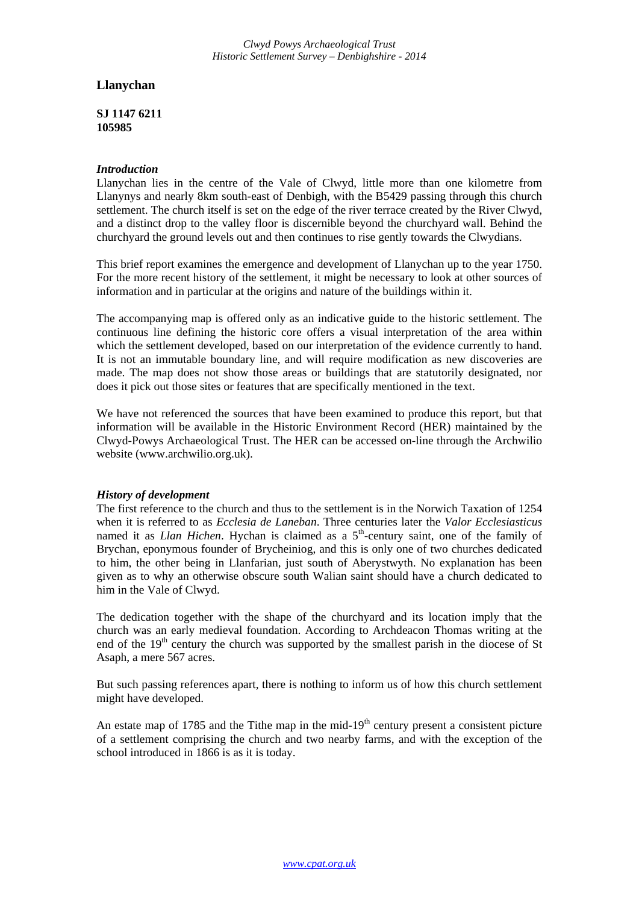*Clwyd Powys Archaeological Trust Historic Settlement Survey – Denbighshire - 2014*

# **Llanychan**

**SJ 1147 6211 105985** 

## *Introduction*

Llanychan lies in the centre of the Vale of Clwyd, little more than one kilometre from Llanynys and nearly 8km south-east of Denbigh, with the B5429 passing through this church settlement. The church itself is set on the edge of the river terrace created by the River Clwyd, and a distinct drop to the valley floor is discernible beyond the churchyard wall. Behind the churchyard the ground levels out and then continues to rise gently towards the Clwydians.

This brief report examines the emergence and development of Llanychan up to the year 1750. For the more recent history of the settlement, it might be necessary to look at other sources of information and in particular at the origins and nature of the buildings within it.

The accompanying map is offered only as an indicative guide to the historic settlement. The continuous line defining the historic core offers a visual interpretation of the area within which the settlement developed, based on our interpretation of the evidence currently to hand. It is not an immutable boundary line, and will require modification as new discoveries are made. The map does not show those areas or buildings that are statutorily designated, nor does it pick out those sites or features that are specifically mentioned in the text.

We have not referenced the sources that have been examined to produce this report, but that information will be available in the Historic Environment Record (HER) maintained by the Clwyd-Powys Archaeological Trust. The HER can be accessed on-line through the Archwilio website (www.archwilio.org.uk).

## *History of development*

The first reference to the church and thus to the settlement is in the Norwich Taxation of 1254 when it is referred to as *Ecclesia de Laneban*. Three centuries later the *Valor Ecclesiasticus* named it as *Llan Hichen*. Hychan is claimed as a 5<sup>th</sup>-century saint, one of the family of Brychan, eponymous founder of Brycheiniog, and this is only one of two churches dedicated to him, the other being in Llanfarian, just south of Aberystwyth. No explanation has been given as to why an otherwise obscure south Walian saint should have a church dedicated to him in the Vale of Clwyd.

The dedication together with the shape of the churchyard and its location imply that the church was an early medieval foundation. According to Archdeacon Thomas writing at the end of the  $19<sup>th</sup>$  century the church was supported by the smallest parish in the diocese of St Asaph, a mere 567 acres.

But such passing references apart, there is nothing to inform us of how this church settlement might have developed.

An estate map of 1785 and the Tithe map in the mid-19<sup>th</sup> century present a consistent picture of a settlement comprising the church and two nearby farms, and with the exception of the school introduced in 1866 is as it is today.